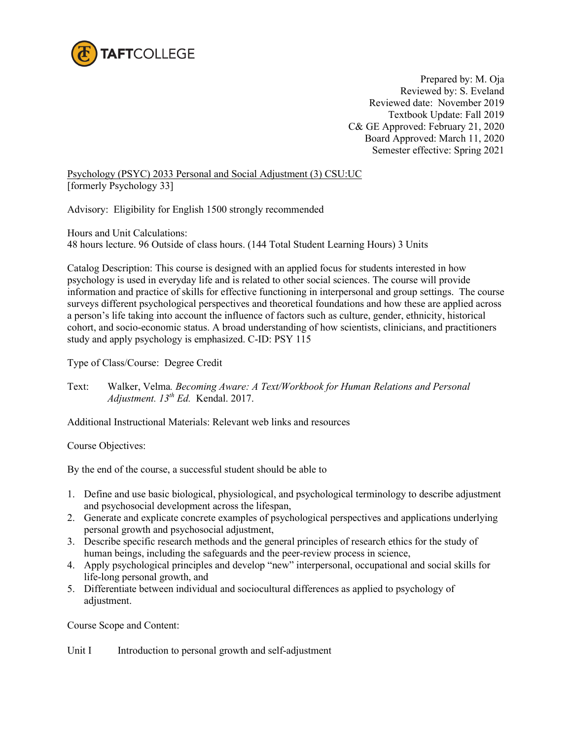

Prepared by: M. Oja Reviewed by: S. Eveland Reviewed date: November 2019 Textbook Update: Fall 2019 C& GE Approved: February 21, 2020 Board Approved: March 11, 2020 Semester effective: Spring 2021

Psychology (PSYC) 2033 Personal and Social Adjustment (3) CSU:UC [formerly Psychology 33]

Advisory: Eligibility for English 1500 strongly recommended

Hours and Unit Calculations: 48 hours lecture. 96 Outside of class hours. (144 Total Student Learning Hours) 3 Units

Catalog Description: This course is designed with an applied focus for students interested in how psychology is used in everyday life and is related to other social sciences. The course will provide information and practice of skills for effective functioning in interpersonal and group settings. The course surveys different psychological perspectives and theoretical foundations and how these are applied across a person's life taking into account the influence of factors such as culture, gender, ethnicity, historical cohort, and socio-economic status. A broad understanding of how scientists, clinicians, and practitioners study and apply psychology is emphasized. C-ID: PSY 115

Type of Class/Course: Degree Credit

Text: Walker, Velma*. Becoming Aware: A Text/Workbook for Human Relations and Personal Adjustment. 13th Ed.* Kendal. 2017.

Additional Instructional Materials: Relevant web links and resources

Course Objectives:

By the end of the course, a successful student should be able to

- 1. Define and use basic biological, physiological, and psychological terminology to describe adjustment and psychosocial development across the lifespan,
- 2. Generate and explicate concrete examples of psychological perspectives and applications underlying personal growth and psychosocial adjustment,
- 3. Describe specific research methods and the general principles of research ethics for the study of human beings, including the safeguards and the peer-review process in science,
- 4. Apply psychological principles and develop "new" interpersonal, occupational and social skills for life-long personal growth, and
- 5. Differentiate between individual and sociocultural differences as applied to psychology of adjustment.

Course Scope and Content:

Unit I Introduction to personal growth and self-adjustment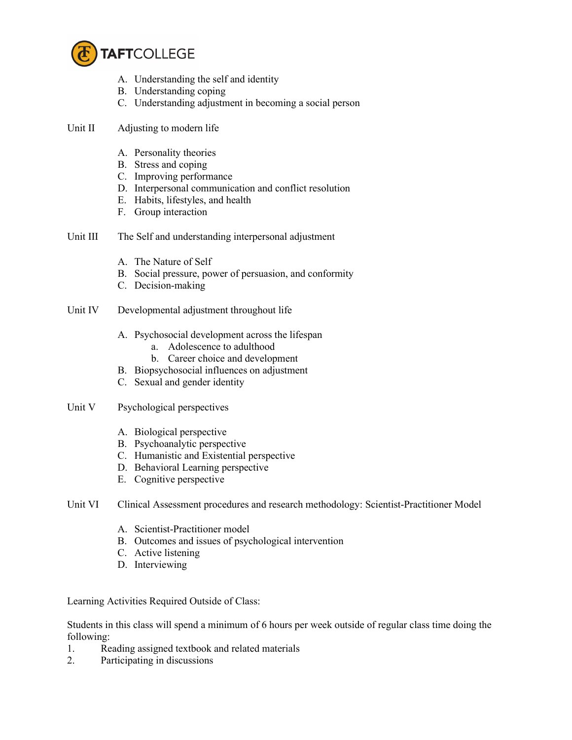

- A. Understanding the self and identity
- B. Understanding coping
- C. Understanding adjustment in becoming a social person
- Unit II Adjusting to modern life
	- A. Personality theories
	- B. Stress and coping
	- C. Improving performance
	- D. Interpersonal communication and conflict resolution
	- E. Habits, lifestyles, and health
	- F. Group interaction
- Unit III The Self and understanding interpersonal adjustment
	- A. The Nature of Self
	- B. Social pressure, power of persuasion, and conformity
	- C. Decision-making
- Unit IV Developmental adjustment throughout life
	- A. Psychosocial development across the lifespan
		- a. Adolescence to adulthood
		- b. Career choice and development
	- B. Biopsychosocial influences on adjustment
	- C. Sexual and gender identity
- Unit V Psychological perspectives
	- A. Biological perspective
	- B. Psychoanalytic perspective
	- C. Humanistic and Existential perspective
	- D. Behavioral Learning perspective
	- E. Cognitive perspective
- Unit VI Clinical Assessment procedures and research methodology: Scientist-Practitioner Model
	- A. Scientist-Practitioner model
	- B. Outcomes and issues of psychological intervention
	- C. Active listening
	- D. Interviewing

Learning Activities Required Outside of Class:

Students in this class will spend a minimum of 6 hours per week outside of regular class time doing the following:

- 1. Reading assigned textbook and related materials
- 2. Participating in discussions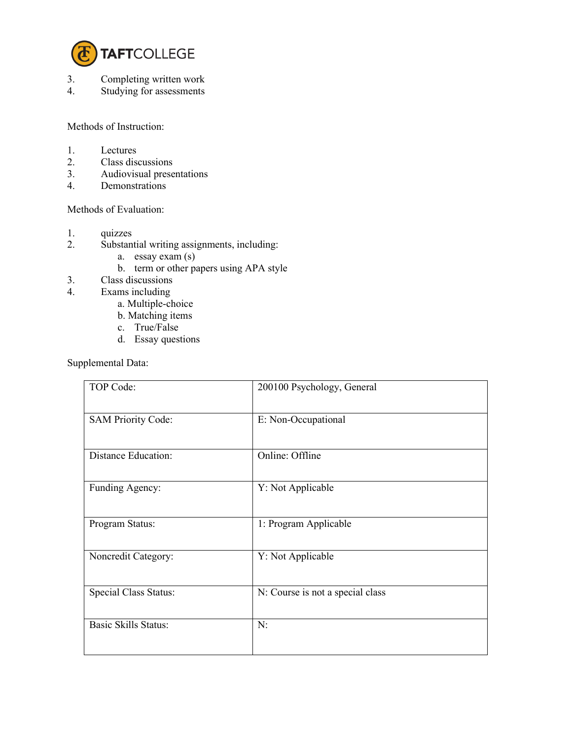

- 3. Completing written work<br>4. Studying for assessments
- Studying for assessments

Methods of Instruction:

- 1. Lectures<br>2. Class dis
- Class discussions
- 3. Audiovisual presentations
- 4. Demonstrations

## Methods of Evaluation:

- 1. quizzes<br>2. Substan
	- Substantial writing assignments, including:
		- a. essay exam (s)
		- b. term or other papers using APA style
- 3. Class discussions
- 4. Exams including
	- a. Multiple-choice
	- b. Matching items
	- c. True/False
	- d. Essay questions

Supplemental Data:

| TOP Code:                   | 200100 Psychology, General       |
|-----------------------------|----------------------------------|
| <b>SAM Priority Code:</b>   | E: Non-Occupational              |
| <b>Distance Education:</b>  | Online: Offline                  |
| Funding Agency:             | Y: Not Applicable                |
| Program Status:             | 1: Program Applicable            |
| Noncredit Category:         | Y: Not Applicable                |
| Special Class Status:       | N: Course is not a special class |
| <b>Basic Skills Status:</b> | N:                               |